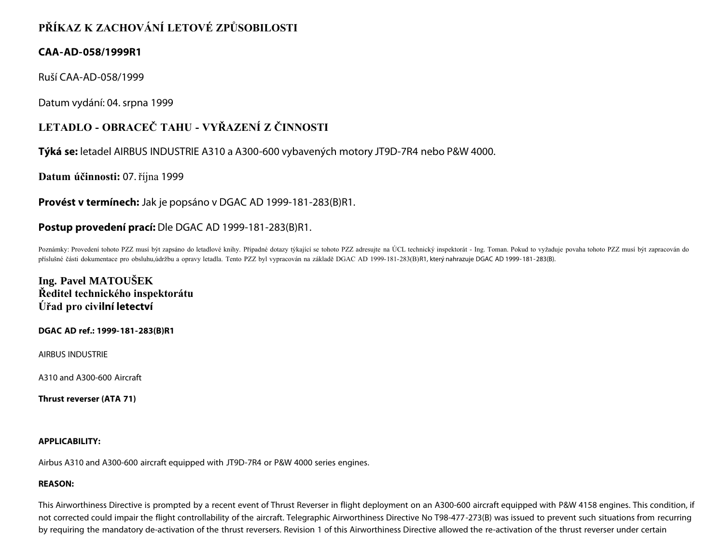# **PŘÍKAZ K ZACHOVÁNÍ LETOVÉ ZPŮSOBILOSTI**

## **CAA-AD-058/1999R1**

Ruší CAA-AD-058/1999

Datum vydání: 04. srpna 1999

# **LETADLO - OBRACEČ TAHU - VYŘAZENÍ Z ČINNOSTI**

**Týká se:** letadel AIRBUS INDUSTRIE A310 a A300-600 vybavených motory JT9D-7R4 nebo P&W 4000.

**Datum účinnosti:** 07. října 1999

**Provést v termínech:** Jak je popsáno v DGAC AD 1999-181-283(B)R1.

## **Postup provedení prací:** Dle DGAC AD 1999-181-283(B)R1.

Poznámky: Provedení tohoto PZZ musí být zapsáno do letadlové knihy. Případné dotazy týkající se tohoto PZZ adresujte na ÚCL technický inspektorát - Ing. Toman. Pokud to vyžaduje povaha tohoto PZZ musí být zapracován do příslušné části dokumentace pro obsluhu,údržbu a opravy letadla. Tento PZZ byl vypracován na základě DGAC AD 1999-181-283(B)R1, který nahrazuje DGAC AD 1999-181-283(B).

# **Ing. Pavel MATOUŠEK Ředitel technického inspektorátu Úřad pro civilní letectví**

## **DGAC AD ref.: 1999-181-283(B)R1**

AIRBUS INDUSTRIE

A310 and A300-600 Aircraft

**Thrust reverser (ATA 71)**

### **APPLICABILITY:**

Airbus A310 and A300-600 aircraft equipped with JT9D-7R4 or P&W 4000 series engines.

### **REASON:**

This Airworthiness Directive is prompted by a recent event of Thrust Reverser in flight deployment on an A300-600 aircraft equipped with P&W 4158 engines. This condition, if not corrected could impair the flight controllability of the aircraft. Telegraphic Airworthiness Directive No T98-477-273(B) was issued to prevent such situations from recurring by requiring the mandatory de-activation of the thrust reversers. Revision 1 of this Airworthiness Directive allowed the re-activation of the thrust reverser under certain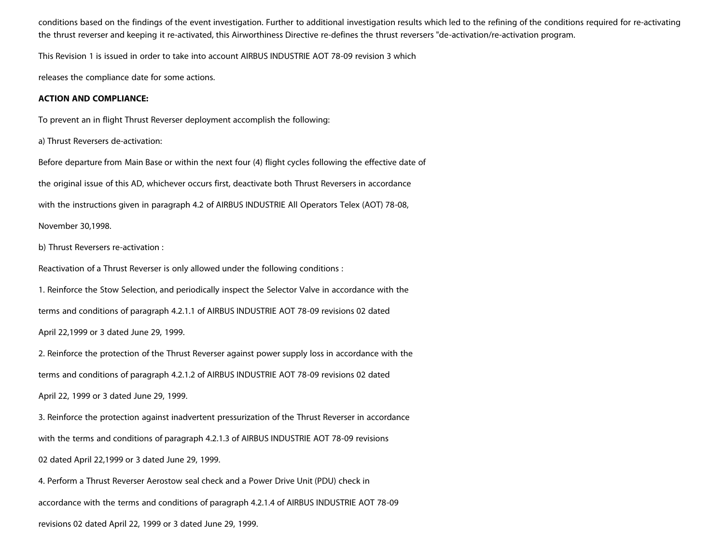conditions based on the findings of the event investigation. Further to additional investigation results which led to the refining of the conditions required for re-activating the thrust reverser and keeping it re-activated, this Airworthiness Directive re-defines the thrust reversers "de-activation/re-activation program.

This Revision 1 is issued in order to take into account AIRBUS INDUSTRIE AOT 78-09 revision 3 which

releases the compliance date for some actions.

#### **ACTION AND COMPLIANCE:**

To prevent an in flight Thrust Reverser deployment accomplish the following:

a) Thrust Reversers de-activation:

Before departure from Main Base or within the next four (4) flight cycles following the effective date of the original issue of this AD, whichever occurs first, deactivate both Thrust Reversers in accordance with the instructions given in paragraph 4.2 of AIRBUS INDUSTRIE All Operators Telex (AOT) 78-08,

November 30,1998.

b) Thrust Reversers re-activation :

Reactivation of a Thrust Reverser is only allowed under the following conditions :

1. Reinforce the Stow Selection, and periodically inspect the Selector Valve in accordance with the

terms and conditions of paragraph 4.2.1.1 of AIRBUS INDUSTRIE AOT 78-09 revisions 02 dated

April 22,1999 or 3 dated June 29, 1999.

2. Reinforce the protection of the Thrust Reverser against power supply loss in accordance with the

terms and conditions of paragraph 4.2.1.2 of AIRBUS INDUSTRIE AOT 78-09 revisions 02 dated

April 22, 1999 or 3 dated June 29, 1999.

3. Reinforce the protection against inadvertent pressurization of the Thrust Reverser in accordance

with the terms and conditions of paragraph 4.2.1.3 of AIRBUS INDUSTRIE AOT 78-09 revisions

02 dated April 22,1999 or 3 dated June 29, 1999.

4. Perform a Thrust Reverser Aerostow seal check and a Power Drive Unit (PDU) check in

accordance with the terms and conditions of paragraph 4.2.1.4 of AIRBUS INDUSTRIE AOT 78-09

revisions 02 dated April 22, 1999 or 3 dated June 29, 1999.